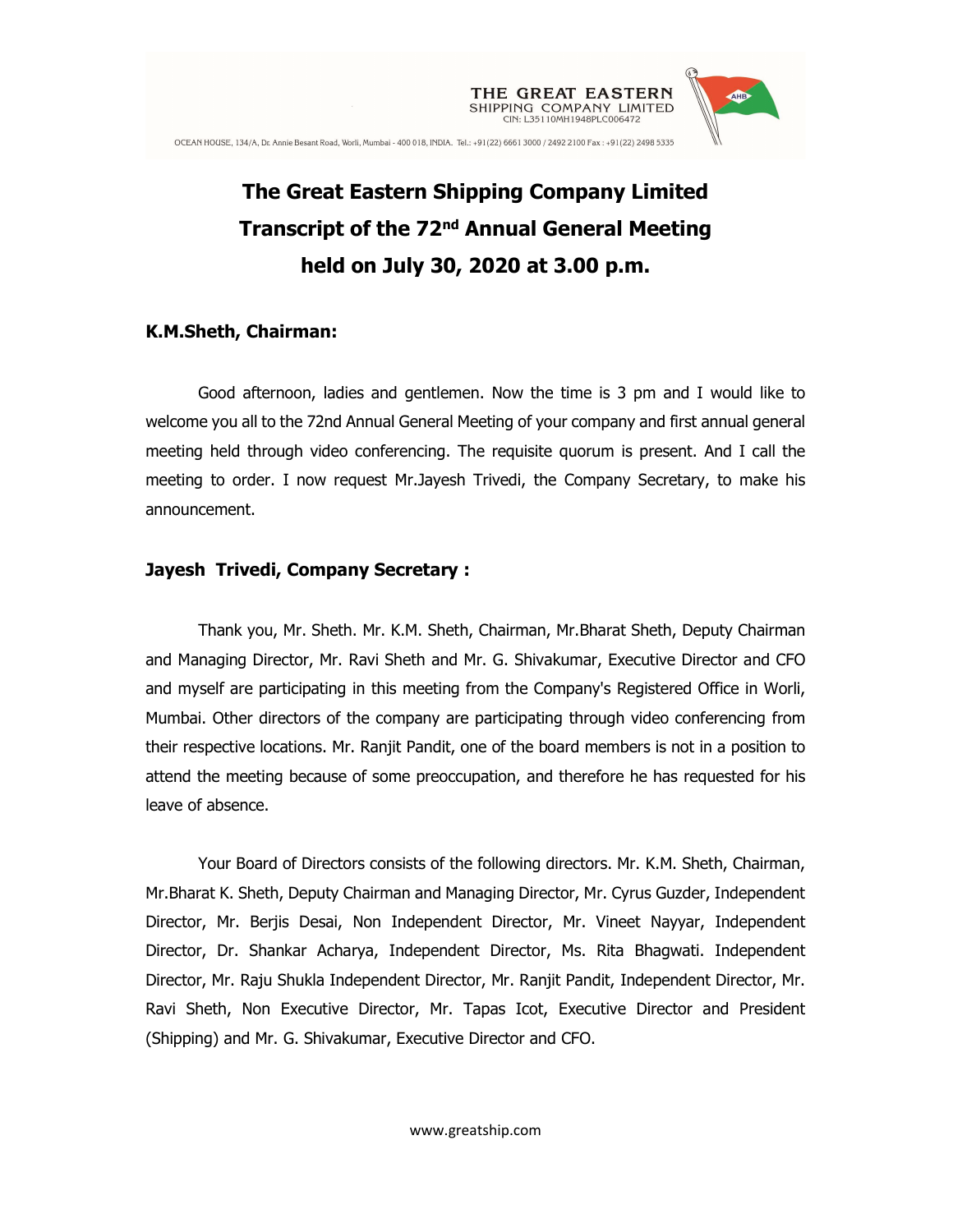

# The Great Eastern Shipping Company Limited Transcript of the 72<sup>nd</sup> Annual General Meeting held on July 30, 2020 at 3.00 p.m.

### K.M.Sheth, Chairman:

Good afternoon, ladies and gentlemen. Now the time is 3 pm and I would like to welcome you all to the 72nd Annual General Meeting of your company and first annual general meeting held through video conferencing. The requisite quorum is present. And I call the meeting to order. I now request Mr.Jayesh Trivedi, the Company Secretary, to make his announcement.

## Jayesh Trivedi, Company Secretary :

Thank you, Mr. Sheth. Mr. K.M. Sheth, Chairman, Mr.Bharat Sheth, Deputy Chairman and Managing Director, Mr. Ravi Sheth and Mr. G. Shivakumar, Executive Director and CFO and myself are participating in this meeting from the Company's Registered Office in Worli, Mumbai. Other directors of the company are participating through video conferencing from their respective locations. Mr. Ranjit Pandit, one of the board members is not in a position to attend the meeting because of some preoccupation, and therefore he has requested for his leave of absence.

Your Board of Directors consists of the following directors. Mr. K.M. Sheth, Chairman, Mr.Bharat K. Sheth, Deputy Chairman and Managing Director, Mr. Cyrus Guzder, Independent Director, Mr. Berjis Desai, Non Independent Director, Mr. Vineet Nayyar, Independent Director, Dr. Shankar Acharya, Independent Director, Ms. Rita Bhagwati. Independent Director, Mr. Raju Shukla Independent Director, Mr. Ranjit Pandit, Independent Director, Mr. Ravi Sheth, Non Executive Director, Mr. Tapas Icot, Executive Director and President (Shipping) and Mr. G. Shivakumar, Executive Director and CFO.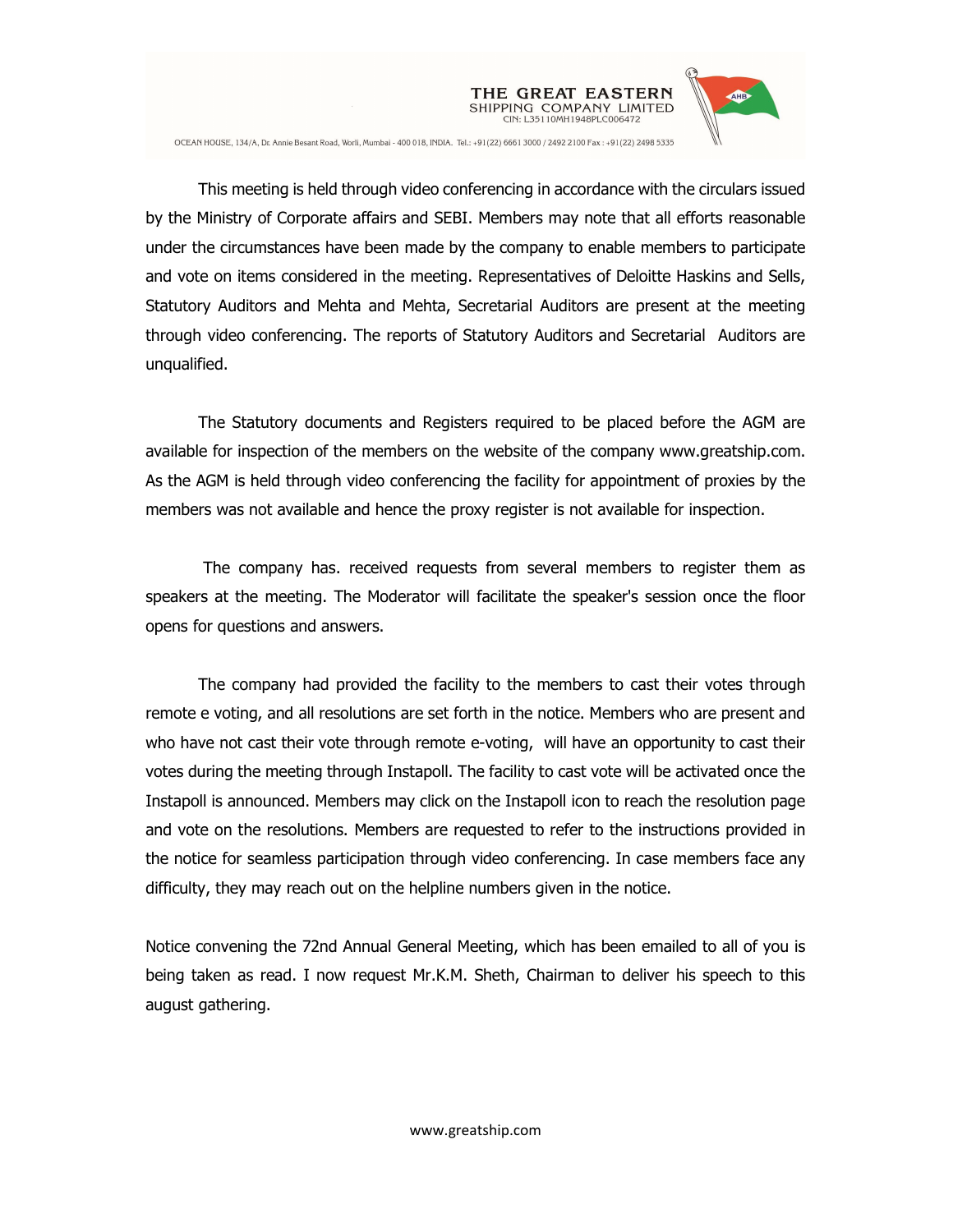

This meeting is held through video conferencing in accordance with the circulars issued by the Ministry of Corporate affairs and SEBI. Members may note that all efforts reasonable under the circumstances have been made by the company to enable members to participate and vote on items considered in the meeting. Representatives of Deloitte Haskins and Sells, Statutory Auditors and Mehta and Mehta, Secretarial Auditors are present at the meeting through video conferencing. The reports of Statutory Auditors and Secretarial Auditors are unqualified.

CIN: L35110MH1948PLC006472

The Statutory documents and Registers required to be placed before the AGM are available for inspection of the members on the website of the company www.greatship.com. As the AGM is held through video conferencing the facility for appointment of proxies by the members was not available and hence the proxy register is not available for inspection.

 The company has. received requests from several members to register them as speakers at the meeting. The Moderator will facilitate the speaker's session once the floor opens for questions and answers.

The company had provided the facility to the members to cast their votes through remote e voting, and all resolutions are set forth in the notice. Members who are present and who have not cast their vote through remote e-voting, will have an opportunity to cast their votes during the meeting through Instapoll. The facility to cast vote will be activated once the Instapoll is announced. Members may click on the Instapoll icon to reach the resolution page and vote on the resolutions. Members are requested to refer to the instructions provided in the notice for seamless participation through video conferencing. In case members face any difficulty, they may reach out on the helpline numbers given in the notice.

Notice convening the 72nd Annual General Meeting, which has been emailed to all of you is being taken as read. I now request Mr.K.M. Sheth, Chairman to deliver his speech to this august gathering.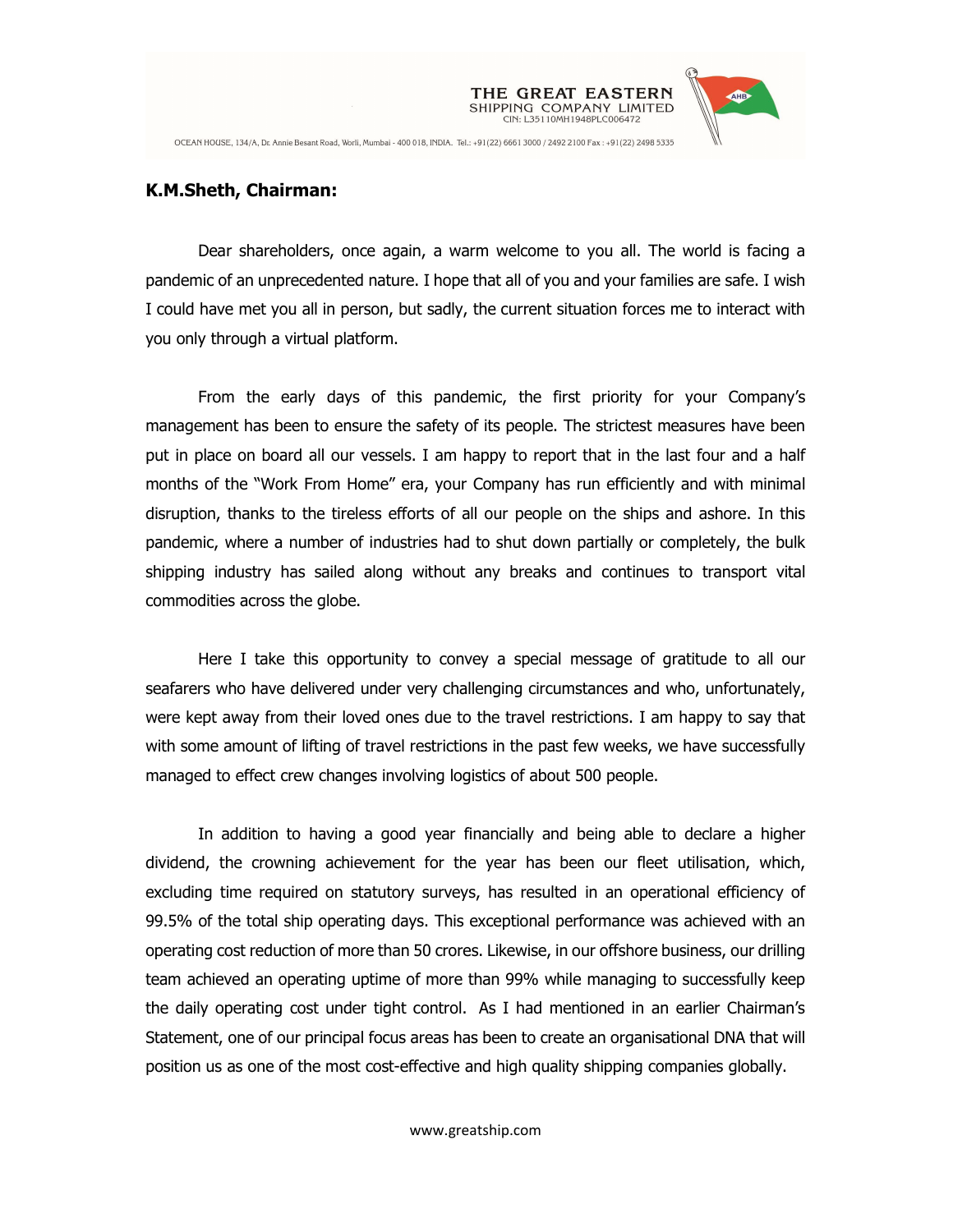

#### K.M.Sheth, Chairman:

Dear shareholders, once again, a warm welcome to you all. The world is facing a pandemic of an unprecedented nature. I hope that all of you and your families are safe. I wish I could have met you all in person, but sadly, the current situation forces me to interact with you only through a virtual platform.

CIN: L35110MH1948PLC006472

From the early days of this pandemic, the first priority for your Company's management has been to ensure the safety of its people. The strictest measures have been put in place on board all our vessels. I am happy to report that in the last four and a half months of the "Work From Home" era, your Company has run efficiently and with minimal disruption, thanks to the tireless efforts of all our people on the ships and ashore. In this pandemic, where a number of industries had to shut down partially or completely, the bulk shipping industry has sailed along without any breaks and continues to transport vital commodities across the globe.

Here I take this opportunity to convey a special message of gratitude to all our seafarers who have delivered under very challenging circumstances and who, unfortunately, were kept away from their loved ones due to the travel restrictions. I am happy to say that with some amount of lifting of travel restrictions in the past few weeks, we have successfully managed to effect crew changes involving logistics of about 500 people.

In addition to having a good year financially and being able to declare a higher dividend, the crowning achievement for the year has been our fleet utilisation, which, excluding time required on statutory surveys, has resulted in an operational efficiency of 99.5% of the total ship operating days. This exceptional performance was achieved with an operating cost reduction of more than 50 crores. Likewise, in our offshore business, our drilling team achieved an operating uptime of more than 99% while managing to successfully keep the daily operating cost under tight control. As I had mentioned in an earlier Chairman's Statement, one of our principal focus areas has been to create an organisational DNA that will position us as one of the most cost-effective and high quality shipping companies globally.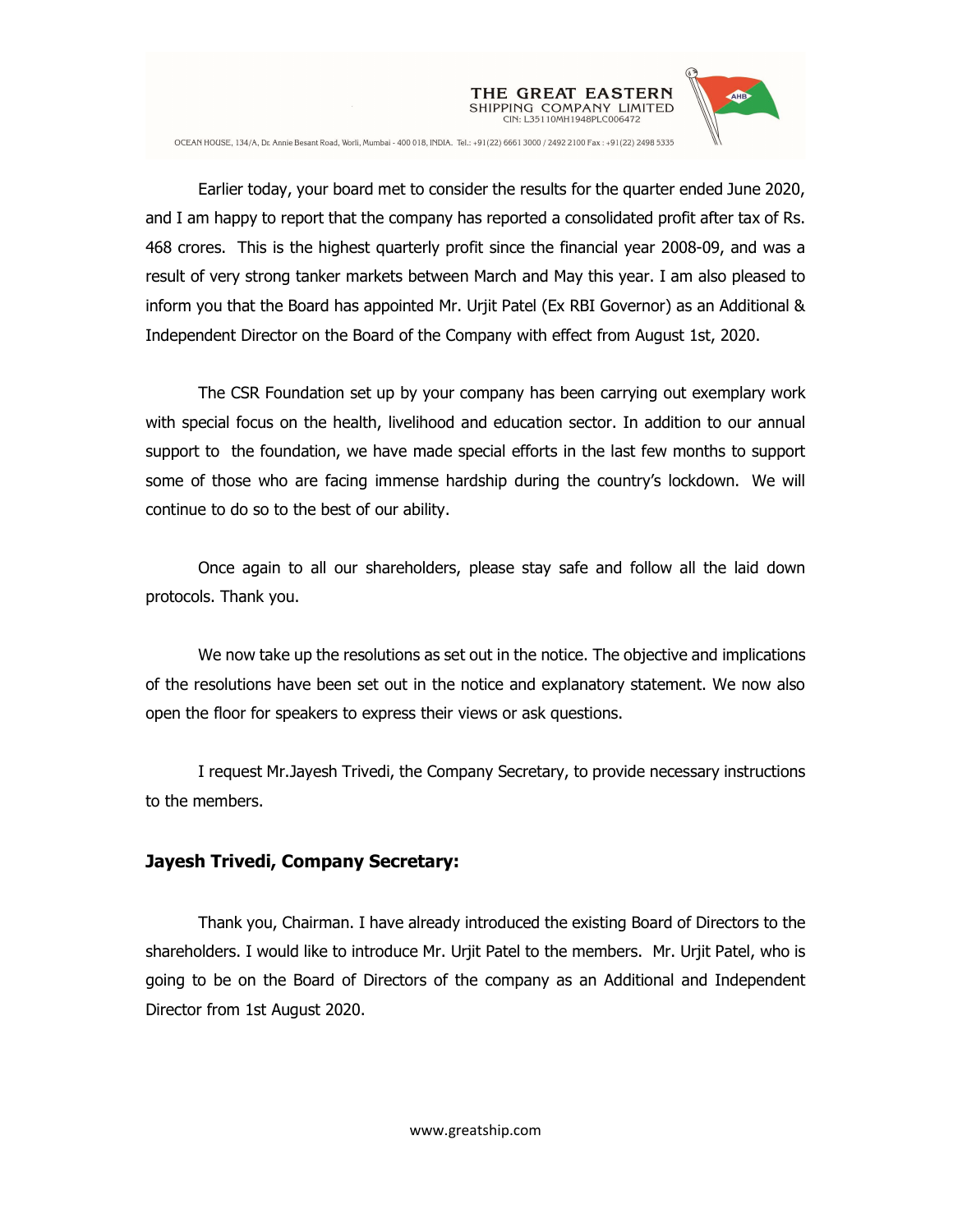

Earlier today, your board met to consider the results for the quarter ended June 2020, and I am happy to report that the company has reported a consolidated profit after tax of Rs. 468 crores. This is the highest quarterly profit since the financial year 2008-09, and was a result of very strong tanker markets between March and May this year. I am also pleased to inform you that the Board has appointed Mr. Urjit Patel (Ex RBI Governor) as an Additional & Independent Director on the Board of the Company with effect from August 1st, 2020.

CIN: L35110MH1948PLC006472

The CSR Foundation set up by your company has been carrying out exemplary work with special focus on the health, livelihood and education sector. In addition to our annual support to the foundation, we have made special efforts in the last few months to support some of those who are facing immense hardship during the country's lockdown. We will continue to do so to the best of our ability.

Once again to all our shareholders, please stay safe and follow all the laid down protocols. Thank you.

We now take up the resolutions as set out in the notice. The objective and implications of the resolutions have been set out in the notice and explanatory statement. We now also open the floor for speakers to express their views or ask questions.

I request Mr.Jayesh Trivedi, the Company Secretary, to provide necessary instructions to the members.

#### Jayesh Trivedi, Company Secretary:

Thank you, Chairman. I have already introduced the existing Board of Directors to the shareholders. I would like to introduce Mr. Urjit Patel to the members. Mr. Urjit Patel, who is going to be on the Board of Directors of the company as an Additional and Independent Director from 1st August 2020.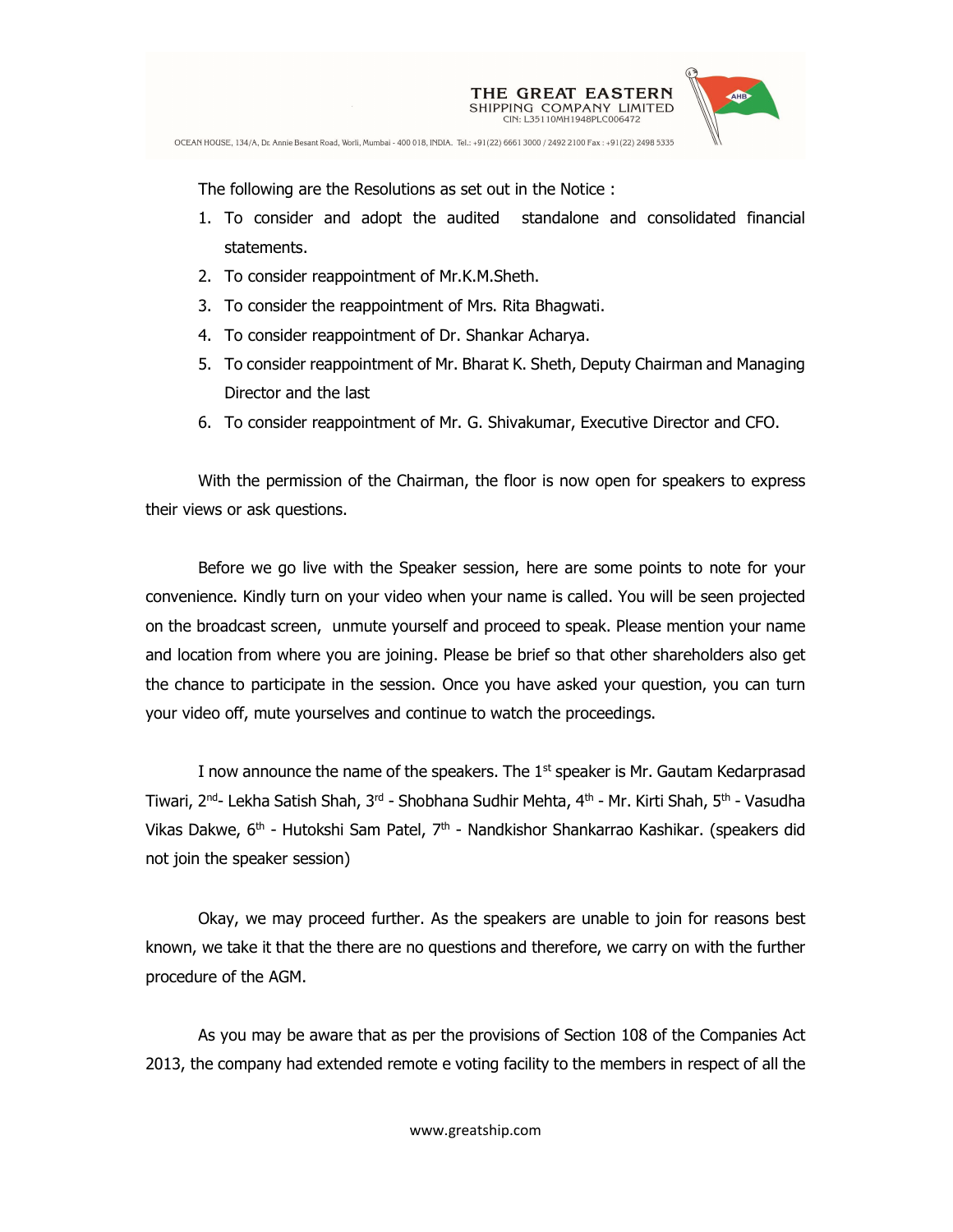

The following are the Resolutions as set out in the Notice :

- 1. To consider and adopt the audited standalone and consolidated financial statements.
- 2. To consider reappointment of Mr.K.M.Sheth.
- 3. To consider the reappointment of Mrs. Rita Bhagwati.
- 4. To consider reappointment of Dr. Shankar Acharya.
- 5. To consider reappointment of Mr. Bharat K. Sheth, Deputy Chairman and Managing Director and the last
- 6. To consider reappointment of Mr. G. Shivakumar, Executive Director and CFO.

With the permission of the Chairman, the floor is now open for speakers to express their views or ask questions.

Before we go live with the Speaker session, here are some points to note for your convenience. Kindly turn on your video when your name is called. You will be seen projected on the broadcast screen, unmute yourself and proceed to speak. Please mention your name and location from where you are joining. Please be brief so that other shareholders also get the chance to participate in the session. Once you have asked your question, you can turn your video off, mute yourselves and continue to watch the proceedings.

I now announce the name of the speakers. The 1<sup>st</sup> speaker is Mr. Gautam Kedarprasad Tiwari, 2<sup>nd</sup>- Lekha Satish Shah, 3<sup>rd</sup> - Shobhana Sudhir Mehta, 4<sup>th</sup> - Mr. Kirti Shah, 5<sup>th</sup> - Vasudha Vikas Dakwe, 6<sup>th</sup> - Hutokshi Sam Patel, 7<sup>th</sup> - Nandkishor Shankarrao Kashikar. (speakers did not join the speaker session)

Okay, we may proceed further. As the speakers are unable to join for reasons best known, we take it that the there are no questions and therefore, we carry on with the further procedure of the AGM.

As you may be aware that as per the provisions of Section 108 of the Companies Act 2013, the company had extended remote e voting facility to the members in respect of all the